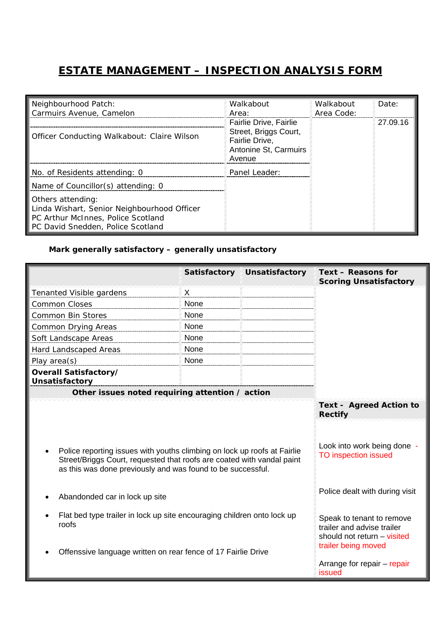## **ESTATE MANAGEMENT – INSPECTION ANALYSIS FORM**

| Neighbourhood Patch:<br>Carmuirs Avenue, Camelon                                                                                            | Walkabout<br>Area:                                                                                   | Walkabout<br>Area Code: | Date:    |
|---------------------------------------------------------------------------------------------------------------------------------------------|------------------------------------------------------------------------------------------------------|-------------------------|----------|
| <b>Officer Conducting Walkabout: Claire Wilson</b>                                                                                          | Fairlie Drive, Fairlie<br>Street, Briggs Court,<br>Fairlie Drive,<br>Antonine St, Carmuirs<br>Avenue |                         | 27.09.16 |
| No. of Residents attending: 0                                                                                                               | Panel Leader:                                                                                        |                         |          |
| Name of Councillor(s) attending: 0                                                                                                          |                                                                                                      |                         |          |
| Others attending:<br>Linda Wishart, Senior Neighbourhood Officer<br>PC Arthur McInnes, Police Scotland<br>PC David Snedden, Police Scotland |                                                                                                      |                         |          |

## *Mark generally satisfactory – generally unsatisfactory*

|                                                                                                                                                                                                                   | Satisfactory | <b>Unsatisfactory</b> | Text - Reasons for<br><b>Scoring Unsatisfactory</b>                                                           |  |
|-------------------------------------------------------------------------------------------------------------------------------------------------------------------------------------------------------------------|--------------|-----------------------|---------------------------------------------------------------------------------------------------------------|--|
| <b>Tenanted Visible gardens</b>                                                                                                                                                                                   | X            |                       |                                                                                                               |  |
| <b>Common Closes</b>                                                                                                                                                                                              | None         |                       |                                                                                                               |  |
| <b>Common Bin Stores</b>                                                                                                                                                                                          | None         |                       |                                                                                                               |  |
| Common Drying Areas                                                                                                                                                                                               | None         |                       |                                                                                                               |  |
| Soft Landscape Areas                                                                                                                                                                                              | None         |                       |                                                                                                               |  |
| Hard Landscaped Areas                                                                                                                                                                                             | None         |                       |                                                                                                               |  |
| Play area(s)                                                                                                                                                                                                      | None         |                       |                                                                                                               |  |
| Overall Satisfactory/<br><b>Unsatisfactory</b>                                                                                                                                                                    |              |                       |                                                                                                               |  |
| Other issues noted requiring attention / action                                                                                                                                                                   |              |                       |                                                                                                               |  |
|                                                                                                                                                                                                                   |              |                       | <b>Text - Agreed Action to</b><br><b>Rectify</b>                                                              |  |
| Police reporting issues with youths climbing on lock up roofs at Fairlie<br>Street/Briggs Court, requested that roofs are coated with vandal paint<br>as this was done previously and was found to be successful. |              |                       | Look into work being done -<br><b>TO inspection issued</b>                                                    |  |
| Abandonded car in lock up site                                                                                                                                                                                    |              |                       | Police dealt with during visit                                                                                |  |
| Flat bed type trailer in lock up site encouraging children onto lock up<br>roofs<br>Offenssive language written on rear fence of 17 Fairlie Drive                                                                 |              |                       | Speak to tenant to remove<br>trailer and advise trailer<br>should not return - visited<br>trailer being moved |  |
|                                                                                                                                                                                                                   |              |                       | Arrange for repair - repair<br>issued                                                                         |  |